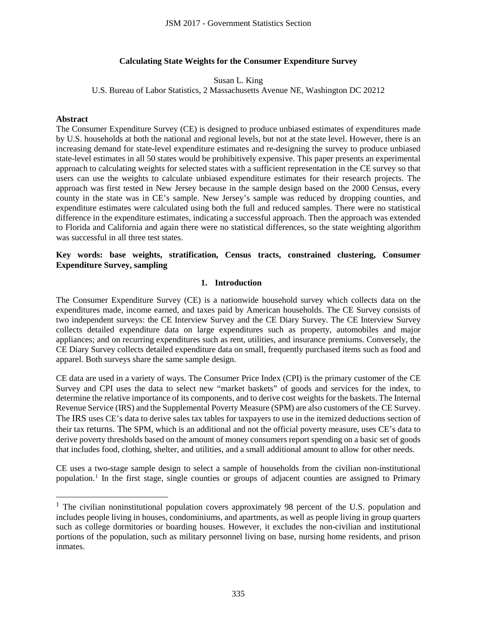## **Calculating State Weights for the Consumer Expenditure Survey**

Susan L. King

U.S. Bureau of Labor Statistics, 2 Massachusetts Avenue NE, Washington DC 20212

#### **Abstract**

 $\overline{\phantom{a}}$ 

The Consumer Expenditure Survey (CE) is designed to produce unbiased estimates of expenditures made by U.S. households at both the national and regional levels, but not at the state level. However, there is an increasing demand for state-level expenditure estimates and re-designing the survey to produce unbiased state-level estimates in all 50 states would be prohibitively expensive. This paper presents an experimental approach to calculating weights for selected states with a sufficient representation in the CE survey so that users can use the weights to calculate unbiased expenditure estimates for their research projects. The approach was first tested in New Jersey because in the sample design based on the 2000 Census, every county in the state was in CE's sample. New Jersey's sample was reduced by dropping counties, and expenditure estimates were calculated using both the full and reduced samples. There were no statistical difference in the expenditure estimates, indicating a successful approach. Then the approach was extended to Florida and California and again there were no statistical differences, so the state weighting algorithm was successful in all three test states. JSM 2017 - Government Statistics Section<br>
State Weights for the Consumer Expend<br>
State Weights for the Consumer Expend<br>
Susan L. King<br>
Statistics, 2 Massachusetts Avenue NE, W<br>
vey (CE) is designed to produce unbiased<br>
nat

## **Key words: base weights, stratification, Census tracts, constrained clustering, Consumer Expenditure Survey, sampling**

## **1. Introduction**

The Consumer Expenditure Survey (CE) is a nationwide household survey which collects data on the expenditures made, income earned, and taxes paid by American households. The CE Survey consists of two independent surveys: the CE Interview Survey and the CE Diary Survey. The CE Interview Survey collects detailed expenditure data on large expenditures such as property, automobiles and major appliances; and on recurring expenditures such as rent, utilities, and insurance premiums. Conversely, the CE Diary Survey collects detailed expenditure data on small, frequently purchased items such as food and apparel. Both surveys share the same sample design.

CE data are used in a variety of ways. The Consumer Price Index (CPI) is the primary customer of the CE Survey and CPI uses the data to select new "market baskets" of goods and services for the index, to determine the relative importance of its components, and to derive cost weights for the baskets. The Internal Revenue Service (IRS) and the Supplemental Poverty Measure (SPM) are also customers of the CE Survey. The IRS uses CE's data to derive sales tax tables for taxpayers to use in the itemized deductions section of their tax returns. The SPM, which is an additional and not the official poverty measure, uses CE's data to derive poverty thresholds based on the amount of money consumers report spending on a basic set of goods that includes food, clothing, shelter, and utilities, and a small additional amount to allow for other needs.

CE uses a two-stage sample design to select a sample of households from the civilian non-institutional population.[1](#page-0-0) In the first stage, single counties or groups of adjacent counties are assigned to Primary

<span id="page-0-0"></span><sup>&</sup>lt;sup>1</sup> The civilian noninstitutional population covers approximately 98 percent of the U.S. population and includes people living in houses, condominiums, and apartments, as well as people living in group quarters such as college dormitories or boarding houses. However, it excludes the non-civilian and institutional portions of the population, such as military personnel living on base, nursing home residents, and prison inmates.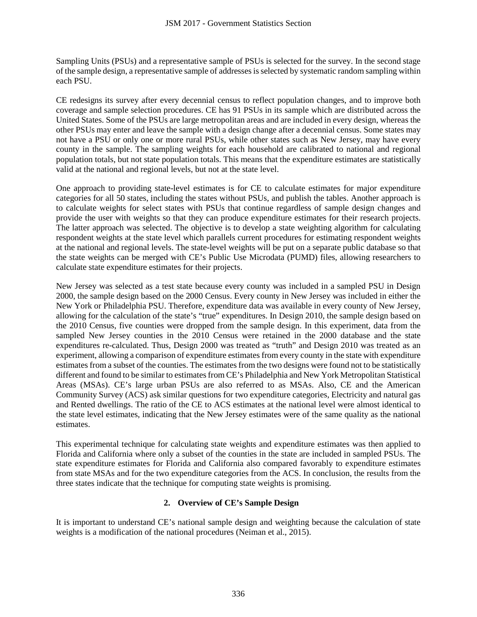Sampling Units (PSUs) and a representative sample of PSUs is selected for the survey. In the second stage of the sample design, a representative sample of addresses isselected by systematic random sampling within each PSU.

CE redesigns its survey after every decennial census to reflect population changes, and to improve both coverage and sample selection procedures. CE has 91 PSUs in its sample which are distributed across the United States. Some of the PSUs are large metropolitan areas and are included in every design, whereas the other PSUs may enter and leave the sample with a design change after a decennial census. Some states may not have a PSU or only one or more rural PSUs, while other states such as New Jersey, may have every county in the sample. The sampling weights for each household are calibrated to national and regional population totals, but not state population totals. This means that the expenditure estimates are statistically valid at the national and regional levels, but not at the state level.

One approach to providing state-level estimates is for CE to calculate estimates for major expenditure categories for all 50 states, including the states without PSUs, and publish the tables. Another approach is to calculate weights for select states with PSUs that continue regardless of sample design changes and provide the user with weights so that they can produce expenditure estimates for their research projects. The latter approach was selected. The objective is to develop a state weighting algorithm for calculating respondent weights at the state level which parallels current procedures for estimating respondent weights at the national and regional levels. The state-level weights will be put on a separate public database so that the state weights can be merged with CE's Public Use Microdata (PUMD) files, allowing researchers to calculate state expenditure estimates for their projects.

New Jersey was selected as a test state because every county was included in a sampled PSU in Design 2000, the sample design based on the 2000 Census. Every county in New Jersey was included in either the New York or Philadelphia PSU. Therefore, expenditure data was available in every county of New Jersey, allowing for the calculation of the state's "true" expenditures. In Design 2010, the sample design based on the 2010 Census, five counties were dropped from the sample design. In this experiment, data from the sampled New Jersey counties in the 2010 Census were retained in the 2000 database and the state expenditures re-calculated. Thus, Design 2000 was treated as "truth" and Design 2010 was treated as an experiment, allowing a comparison of expenditure estimates from every county in the state with expenditure estimates from a subset of the counties. The estimates from the two designs were found not to be statistically different and found to be similar to estimates from CE's Philadelphia and New York Metropolitan Statistical Areas (MSAs). CE's large urban PSUs are also referred to as MSAs. Also, CE and the American Community Survey (ACS) ask similar questions for two expenditure categories, Electricity and natural gas and Rented dwellings. The ratio of the CE to ACS estimates at the national level were almost identical to the state level estimates, indicating that the New Jersey estimates were of the same quality as the national estimates. JSM 2017 - Government Statistics Section<br>presentative sample of PSUs is selected fo<br>ative sample of addresses is selected by sys<br>every decemnial census to reflect population<br>procedures. CE has 91 PSUs in its sample<br>the sam

This experimental technique for calculating state weights and expenditure estimates was then applied to Florida and California where only a subset of the counties in the state are included in sampled PSUs. The state expenditure estimates for Florida and California also compared favorably to expenditure estimates from state MSAs and for the two expenditure categories from the ACS. In conclusion, the results from the three states indicate that the technique for computing state weights is promising.

# **2. Overview of CE's Sample Design**

It is important to understand CE's national sample design and weighting because the calculation of state weights is a modification of the national procedures (Neiman et al., 2015).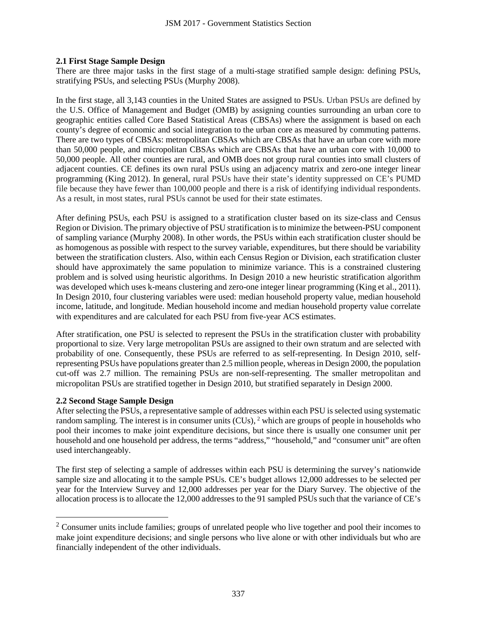# **2.1 First Stage Sample Design**

There are three major tasks in the first stage of a multi-stage stratified sample design: defining PSUs, stratifying PSUs, and selecting PSUs (Murphy 2008).

In the first stage, all 3,143 counties in the United States are assigned to PSUs. Urban PSUs are defined by the U.S. Office of Management and Budget (OMB) by assigning counties surrounding an urban core to geographic entities called Core Based Statistical Areas (CBSAs) where the assignment is based on each county's degree of economic and social integration to the urban core as measured by commuting patterns. There are two types of CBSAs: metropolitan CBSAs which are CBSAs that have an urban core with more than 50,000 people, and micropolitan CBSAs which are CBSAs that have an urban core with 10,000 to 50,000 people. All other counties are rural, and OMB does not group rural counties into small clusters of adjacent counties. CE defines its own rural PSUs using an adjacency matrix and zero-one integer linear programming (King 2012). In general, rural PSUs have their state's identity suppressed on CE's PUMD file because they have fewer than 100,000 people and there is a risk of identifying individual respondents. As a result, in most states, rural PSUs cannot be used for their state estimates.

After defining PSUs, each PSU is assigned to a stratification cluster based on its size-class and Census Region or Division. The primary objective of PSU stratification is to minimize the between-PSU component of sampling variance (Murphy 2008). In other words, the PSUs within each stratification cluster should be as homogenous as possible with respect to the survey variable, expenditures, but there should be variability between the stratification clusters. Also, within each Census Region or Division, each stratification cluster should have approximately the same population to minimize variance. This is a constrained clustering problem and is solved using heuristic algorithms. In Design 2010 a new heuristic stratification algorithm was developed which uses k-means clustering and zero-one integer linear programming (King et al.*,* 2011). In Design 2010, four clustering variables were used: median household property value, median household income, latitude, and longitude. Median household income and median household property value correlate with expenditures and are calculated for each PSU from five-year ACS estimates. JSM 2017 - Government Statistics Section<br>the first stage of a multi-stage stratified<br>PSUs (Murphy 2008).<br>The first indeptoted States are assigned to PS<br>and Budget (OMB) by assigning countie<br>Based Statistical Areas (CBSAs)

After stratification, one PSU is selected to represent the PSUs in the stratification cluster with probability proportional to size. Very large metropolitan PSUs are assigned to their own stratum and are selected with probability of one. Consequently, these PSUs are referred to as self-representing. In Design 2010, selfrepresenting PSUs have populations greater than 2.5 million people, whereas in Design 2000, the population cut-off was 2.7 million. The remaining PSUs are non-self-representing. The smaller metropolitan and micropolitan PSUs are stratified together in Design 2010, but stratified separately in Design 2000.

## **2.2 Second Stage Sample Design**

 $\overline{a}$ 

After selecting the PSUs, a representative sample of addresses within each PSU is selected using systematic random sampling. The interest is in consumer units (CUs), <sup>[2](#page-2-0)</sup> which are groups of people in households who pool their incomes to make joint expenditure decisions, but since there is usually one consumer unit per household and one household per address, the terms "address," "household," and "consumer unit" are often used interchangeably.

The first step of selecting a sample of addresses within each PSU is determining the survey's nationwide sample size and allocating it to the sample PSUs. CE's budget allows 12,000 addresses to be selected per year for the Interview Survey and 12,000 addresses per year for the Diary Survey. The objective of the allocation process is to allocate the 12,000 addresses to the 91 sampled PSUs such that the variance of CE's

<span id="page-2-0"></span><sup>&</sup>lt;sup>2</sup> Consumer units include families; groups of unrelated people who live together and pool their incomes to make joint expenditure decisions; and single persons who live alone or with other individuals but who are financially independent of the other individuals.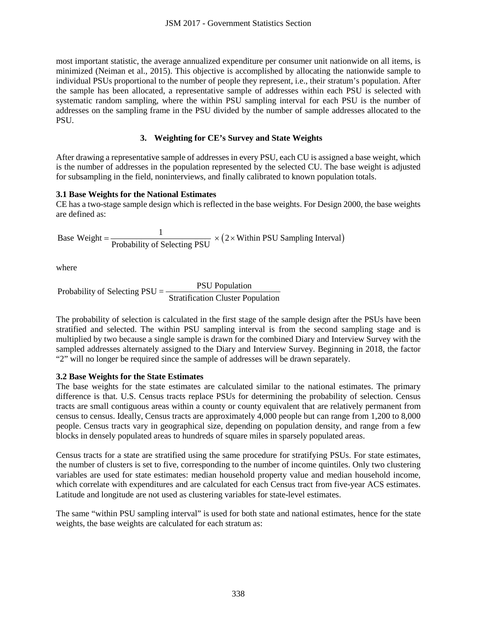most important statistic, the average annualized expenditure per consumer unit nationwide on all items, is minimized (Neiman et al., 2015). This objective is accomplished by allocating the nationwide sample to individual PSUs proportional to the number of people they represent, i.e., their stratum's population. After the sample has been allocated, a representative sample of addresses within each PSU is selected with systematic random sampling, where the within PSU sampling interval for each PSU is the number of addresses on the sampling frame in the PSU divided by the number of sample addresses allocated to the PSU. JSM 2017 - Government Statistics Section<br>
rage annualized expenditure per consumer<br>
b). This objective is accomplished by allot<br>
the number of people they represent, i.e.,<br>
a representative sample of addresses wis<br>
a repr

# **3. Weighting for CE's Survey and State Weights**

After drawing a representative sample of addresses in every PSU, each CU is assigned a base weight, which is the number of addresses in the population represented by the selected CU. The base weight is adjusted for subsampling in the field, noninterviews, and finally calibrated to known population totals.

# **3.1 Base Weights for the National Estimates**

CE has a two-stage sample design which is reflected in the base weights. For Design 2000, the base weights are defined as:

Base Weight =  $\frac{1}{\text{Probability of Selecting PSU}} \times (2 \times \text{Within PSU Sampling Interval})$ 

where

Probability of Selecting  $PSU = \frac{PSU$  Population<br>Stratification Cluster Population

The probability of selection is calculated in the first stage of the sample design after the PSUs have been stratified and selected. The within PSU sampling interval is from the second sampling stage and is multiplied by two because a single sample is drawn for the combined Diary and Interview Survey with the sampled addresses alternately assigned to the Diary and Interview Survey. Beginning in 2018, the factor "2" will no longer be required since the sample of addresses will be drawn separately.

# **3.2 Base Weights for the State Estimates**

The base weights for the state estimates are calculated similar to the national estimates. The primary difference is that. U.S. Census tracts replace PSUs for determining the probability of selection. Census tracts are small contiguous areas within a county or county equivalent that are relatively permanent from census to census. Ideally, Census tracts are approximately 4,000 people but can range from 1,200 to 8,000 people. Census tracts vary in geographical size, depending on population density, and range from a few blocks in densely populated areas to hundreds of square miles in sparsely populated areas.

Census tracts for a state are stratified using the same procedure for stratifying PSUs. For state estimates, the number of clusters is set to five, corresponding to the number of income quintiles. Only two clustering variables are used for state estimates: median household property value and median household income, which correlate with expenditures and are calculated for each Census tract from five-year ACS estimates. Latitude and longitude are not used as clustering variables for state-level estimates.

The same "within PSU sampling interval" is used for both state and national estimates, hence for the state weights, the base weights are calculated for each stratum as: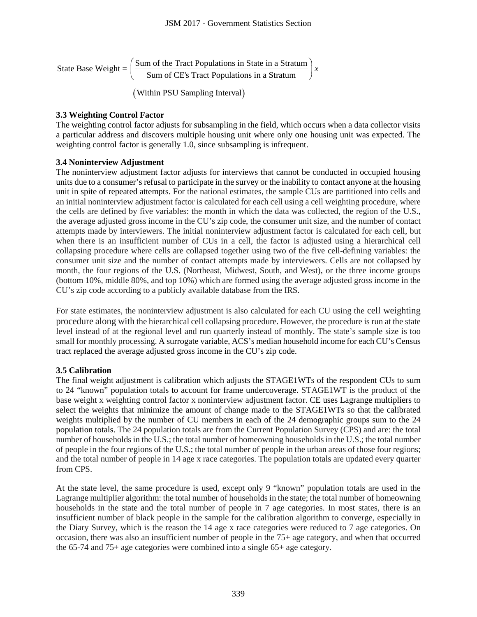State Base Weight = 
$$
\left(\frac{\text{Sum of the Tract Populations in State in a Stratum}}{\text{Sum of CE's Tract Populations in a Stratum}}\right) x
$$

(Within PSU Sampling Interval)

# **3.3 Weighting Control Factor**

The weighting control factor adjusts for subsampling in the field, which occurs when a data collector visits a particular address and discovers multiple housing unit where only one housing unit was expected. The weighting control factor is generally 1.0, since subsampling is infrequent.

# **3.4 Noninterview Adjustment**

The noninterview adjustment factor adjusts for interviews that cannot be conducted in occupied housing units due to a consumer's refusal to participate in the survey or the inability to contact anyone at the housing unit in spite of repeated attempts. For the national estimates, the sample CUs are partitioned into cells and an initial noninterview adjustment factor is calculated for each cell using a cell weighting procedure, where the cells are defined by five variables: the month in which the data was collected, the region of the U.S., the average adjusted gross income in the CU's zip code, the consumer unit size, and the number of contact attempts made by interviewers. The initial noninterview adjustment factor is calculated for each cell, but when there is an insufficient number of CUs in a cell, the factor is adjusted using a hierarchical cell collapsing procedure where cells are collapsed together using two of the five cell-defining variables: the consumer unit size and the number of contact attempts made by interviewers. Cells are not collapsed by month, the four regions of the U.S. (Northeast, Midwest, South, and West), or the three income groups (bottom 10%, middle 80%, and top 10%) which are formed using the average adjusted gross income in the CU's zip code according to a publicly available database from the IRS. JSM 2017 - Government Statistics Section<br>
he Tract Populations in State in a Stratum<br>
of CE's Tract Populations in a Stratum<br>
SU Sampling Interval)<br>
SU Sampling in the field, which oc<br>
rest multiple housing unit where onl

For state estimates, the noninterview adjustment is also calculated for each CU using the cell weighting procedure along with the hierarchical cell collapsing procedure. However, the procedure is run at the state level instead of at the regional level and run quarterly instead of monthly. The state's sample size is too small for monthly processing. A surrogate variable, ACS's median household income for each CU's Census tract replaced the average adjusted gross income in the CU's zip code.

# **3.5 Calibration**

The final weight adjustment is calibration which adjusts the STAGE1WTs of the respondent CUs to sum to 24 "known" population totals to account for frame undercoverage. STAGE1WT is the product of the base weight x weighting control factor x noninterview adjustment factor. CE uses Lagrange multipliers to select the weights that minimize the amount of change made to the STAGE1WTs so that the calibrated weights multiplied by the number of CU members in each of the 24 demographic groups sum to the 24 population totals. The 24 population totals are from the Current Population Survey (CPS) and are: the total number of households in the U.S.; the total number of homeowning households in the U.S.; the total number of people in the four regions of the U.S.; the total number of people in the urban areas of those four regions; and the total number of people in 14 age x race categories. The population totals are updated every quarter from CPS.

At the state level, the same procedure is used, except only 9 "known" population totals are used in the Lagrange multiplier algorithm: the total number of households in the state; the total number of homeowning households in the state and the total number of people in 7 age categories. In most states, there is an insufficient number of black people in the sample for the calibration algorithm to converge, especially in the Diary Survey, which is the reason the 14 age x race categories were reduced to 7 age categories. On occasion, there was also an insufficient number of people in the 75+ age category, and when that occurred the 65-74 and 75+ age categories were combined into a single 65+ age category.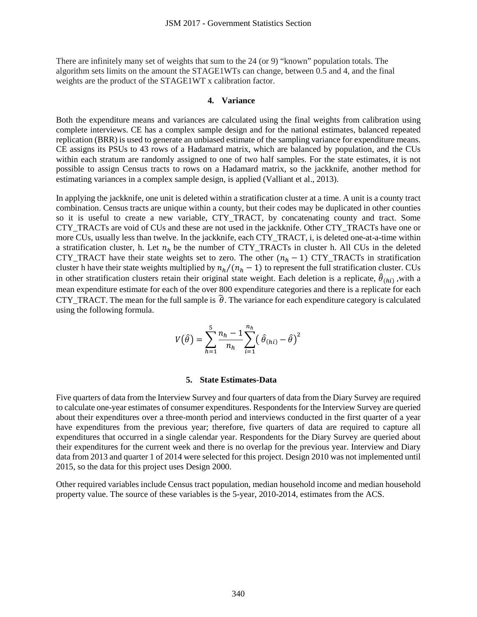There are infinitely many set of weights that sum to the 24 (or 9) "known" population totals. The algorithm sets limits on the amount the STAGE1WTs can change, between 0.5 and 4, and the final weights are the product of the STAGE1WT x calibration factor.

#### **4. Variance**

Both the expenditure means and variances are calculated using the final weights from calibration using complete interviews. CE has a complex sample design and for the national estimates, balanced repeated replication (BRR) is used to generate an unbiased estimate of the sampling variance for expenditure means. CE assigns its PSUs to 43 rows of a Hadamard matrix, which are balanced by population, and the CUs within each stratum are randomly assigned to one of two half samples. For the state estimates, it is not possible to assign Census tracts to rows on a Hadamard matrix, so the jackknife, another method for estimating variances in a complex sample design, is applied (Valliant et al., 2013).

In applying the jackknife, one unit is deleted within a stratification cluster at a time. A unit is a county tract combination. Census tracts are unique within a county, but their codes may be duplicated in other counties so it is useful to create a new variable, CTY\_TRACT, by concatenating county and tract. Some CTY\_TRACTs are void of CUs and these are not used in the jackknife. Other CTY\_TRACTs have one or more CUs, usually less than twelve. In the jackknife, each CTY\_TRACT, i, is deleted one-at-a-time within a stratification cluster, h. Let  $n_h$  be the number of CTY\_TRACTs in cluster h. All CUs in the deleted CTY\_TRACT have their state weights set to zero. The other  $(n_h - 1)$  CTY\_TRACTs in stratification cluster h have their state weights multiplied by  $n_h/(n_h - 1)$  to represent the full stratification cluster. CUs in other stratification clusters retain their original state weight. Each deletion is a replicate,  $\hat{\theta}_{(hi)}$ , with a mean expenditure estimate for each of the over 800 expenditure categories and there is a replicate for each CTY\_TRACT. The mean for the full sample is  $\hat{\theta}$ . The variance for each expenditure category is calculated using the following formula. JSM 2017 - Government Statistics Section<br>weights that sum to the 24 (or 9) "known"<br>unt the STAGE1WTs can change, between<br>TAGE1WTs can change, between<br>TAGE1WTs calibration factor.<br>4. **Variance**<br>d variances are calculated u

$$
V(\hat{\theta}) = \sum_{h=1}^{5} \frac{n_h - 1}{n_h} \sum_{i=1}^{n_h} (\hat{\theta}_{(hi)} - \hat{\theta})^2
$$

#### **5. State Estimates-Data**

Five quarters of data from the Interview Survey and four quarters of data from the Diary Survey are required to calculate one-year estimates of consumer expenditures. Respondents for the Interview Survey are queried about their expenditures over a three-month period and interviews conducted in the first quarter of a year have expenditures from the previous year; therefore, five quarters of data are required to capture all expenditures that occurred in a single calendar year. Respondents for the Diary Survey are queried about their expenditures for the current week and there is no overlap for the previous year. Interview and Diary data from 2013 and quarter 1 of 2014 were selected for this project. Design 2010 was not implemented until 2015, so the data for this project uses Design 2000.

Other required variables include Census tract population, median household income and median household property value. The source of these variables is the 5-year, 2010-2014, estimates from the ACS.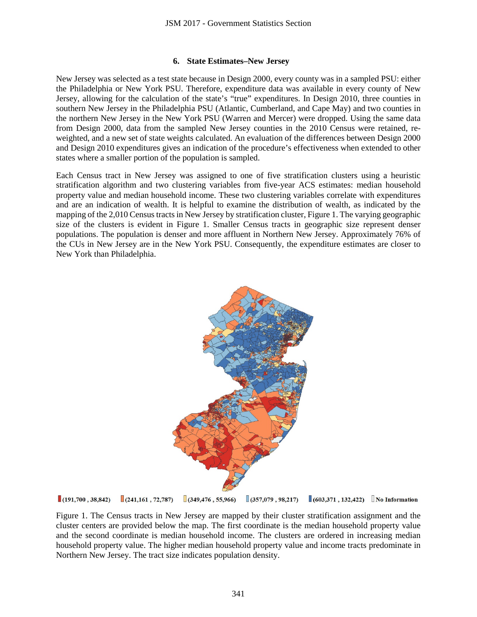#### **6. State Estimates–New Jersey**

New Jersey was selected as a test state because in Design 2000, every county was in a sampled PSU: either the Philadelphia or New York PSU. Therefore, expenditure data was available in every county of New Jersey, allowing for the calculation of the state's "true" expenditures. In Design 2010, three counties in southern New Jersey in the Philadelphia PSU (Atlantic, Cumberland, and Cape May) and two counties in the northern New Jersey in the New York PSU (Warren and Mercer) were dropped. Using the same data from Design 2000, data from the sampled New Jersey counties in the 2010 Census were retained, reweighted, and a new set of state weights calculated. An evaluation of the differences between Design 2000 and Design 2010 expenditures gives an indication of the procedure's effectiveness when extended to other states where a smaller portion of the population is sampled.

Each Census tract in New Jersey was assigned to one of five stratification clusters using a heuristic stratification algorithm and two clustering variables from five-year ACS estimates: median household property value and median household income. These two clustering variables correlate with expenditures and are an indication of wealth. It is helpful to examine the distribution of wealth, as indicated by the mapping of the 2,010 Census tracts in New Jersey by stratification cluster, Figure 1. The varying geographic size of the clusters is evident in Figure 1. Smaller Census tracts in geographic size represent denser populations. The population is denser and more affluent in Northern New Jersey. Approximately 76% of the CUs in New Jersey are in the New York PSU. Consequently, the expenditure estimates are closer to New York than Philadelphia.



 $(191,700, 38,842)$ 

Figure 1. The Census tracts in New Jersey are mapped by their cluster stratification assignment and the cluster centers are provided below the map. The first coordinate is the median household property value and the second coordinate is median household income. The clusters are ordered in increasing median household property value. The higher median household property value and income tracts predominate in Northern New Jersey. The tract size indicates population density.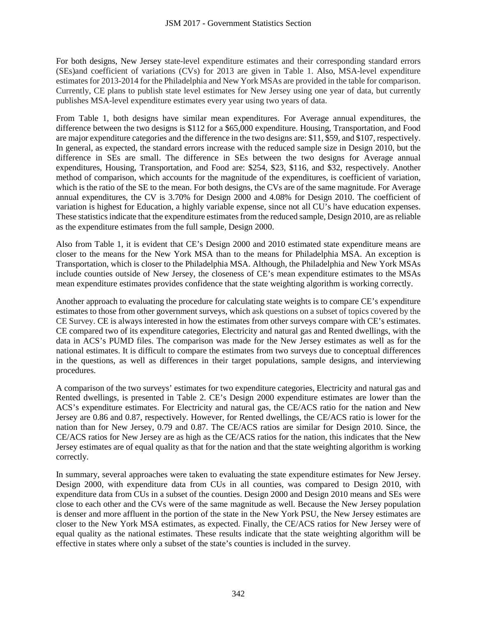For both designs, New Jersey state-level expenditure estimates and their corresponding standard errors (SEs)and coefficient of variations (CVs) for 2013 are given in Table 1. Also, MSA-level expenditure estimates for 2013-2014 for the Philadelphia and New York MSAs are provided in the table for comparison. Currently, CE plans to publish state level estimates for New Jersey using one year of data, but currently publishes MSA-level expenditure estimates every year using two years of data.

From Table 1, both designs have similar mean expenditures. For Average annual expenditures, the difference between the two designs is \$112 for a \$65,000 expenditure. Housing, Transportation, and Food are major expenditure categories and the difference in the two designs are: \$11, \$59, and \$107, respectively. In general, as expected, the standard errors increase with the reduced sample size in Design 2010, but the difference in SEs are small. The difference in SEs between the two designs for Average annual expenditures, Housing, Transportation, and Food are: \$254, \$23, \$116, and \$32, respectively. Another method of comparison, which accounts for the magnitude of the expenditures, is coefficient of variation, which is the ratio of the SE to the mean. For both designs, the CVs are of the same magnitude. For Average annual expenditures, the CV is 3.70% for Design 2000 and 4.08% for Design 2010. The coefficient of variation is highest for Education, a highly variable expense, since not all CU's have education expenses. These statistics indicate that the expenditure estimates from the reduced sample, Design 2010, are as reliable as the expenditure estimates from the full sample, Design 2000. JSM 2017 - Government Statistics Section<br>state-level expenditure estimates and thei<br>mis (CVs) for 2013 are given in Table 1<br>Philadelphia and New York MSAs are provident<br>Filadelphia and New York MSAs are provident<br>state lev

Also from Table 1, it is evident that CE's Design 2000 and 2010 estimated state expenditure means are closer to the means for the New York MSA than to the means for Philadelphia MSA. An exception is Transportation, which is closer to the Philadelphia MSA. Although, the Philadelphia and New York MSAs include counties outside of New Jersey, the closeness of CE's mean expenditure estimates to the MSAs mean expenditure estimates provides confidence that the state weighting algorithm is working correctly.

Another approach to evaluating the procedure for calculating state weights is to compare CE's expenditure estimates to those from other government surveys, which ask questions on a subset of topics covered by the CE Survey. CE is always interested in how the estimates from other surveys compare with CE's estimates. CE compared two of its expenditure categories, Electricity and natural gas and Rented dwellings, with the data in ACS's PUMD files. The comparison was made for the New Jersey estimates as well as for the national estimates. It is difficult to compare the estimates from two surveys due to conceptual differences in the questions, as well as differences in their target populations, sample designs, and interviewing procedures.

A comparison of the two surveys' estimates for two expenditure categories, Electricity and natural gas and Rented dwellings, is presented in Table 2. CE's Design 2000 expenditure estimates are lower than the ACS's expenditure estimates. For Electricity and natural gas, the CE/ACS ratio for the nation and New Jersey are 0.86 and 0.87, respectively. However, for Rented dwellings, the CE/ACS ratio is lower for the nation than for New Jersey, 0.79 and 0.87. The CE/ACS ratios are similar for Design 2010. Since, the CE/ACS ratios for New Jersey are as high as the CE/ACS ratios for the nation, this indicates that the New Jersey estimates are of equal quality as that for the nation and that the state weighting algorithm is working correctly.

In summary, several approaches were taken to evaluating the state expenditure estimates for New Jersey. Design 2000, with expenditure data from CUs in all counties, was compared to Design 2010, with expenditure data from CUs in a subset of the counties. Design 2000 and Design 2010 means and SEs were close to each other and the CVs were of the same magnitude as well. Because the New Jersey population is denser and more affluent in the portion of the state in the New York PSU, the New Jersey estimates are closer to the New York MSA estimates, as expected. Finally, the CE/ACS ratios for New Jersey were of equal quality as the national estimates. These results indicate that the state weighting algorithm will be effective in states where only a subset of the state's counties is included in the survey.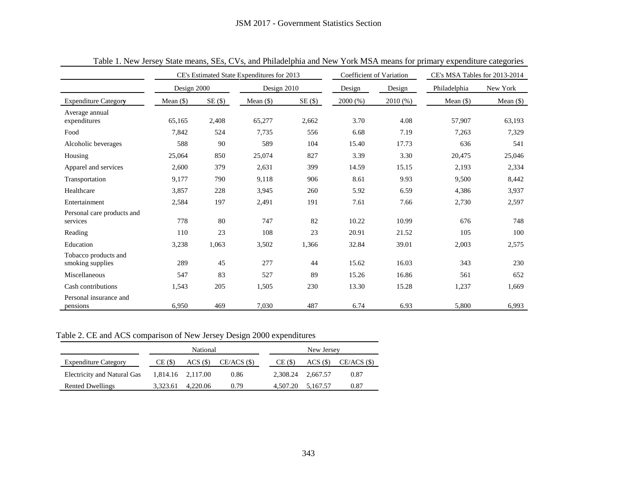|                                                                       |             |             |               | CE's Estimated State Expenditures for 2013 |            | Coefficient of Variation |         | CE's MSA Tables for 2013-2014 |             |
|-----------------------------------------------------------------------|-------------|-------------|---------------|--------------------------------------------|------------|--------------------------|---------|-------------------------------|-------------|
|                                                                       |             | Design 2000 |               | Design 2010                                |            | Design                   | Design  | Philadelphia                  | New York    |
| <b>Expenditure Category</b>                                           | Mean $(\$)$ |             | $SE($ \$)     | Mean $(\$)$                                | $SE($ \$)  | 2000 (%)                 | 2010(%) | Mean $(\$)$                   | Mean $(\$)$ |
| Average annual<br>expenditures                                        | 65,165      |             | 2,408         | 65,277                                     | 2,662      | 3.70                     | 4.08    | 57.907                        | 63,193      |
| Food                                                                  | 7,842       |             | 524           | 7,735                                      | 556        | 6.68                     | 7.19    | 7,263                         | 7,329       |
| Alcoholic beverages                                                   |             | 588         | 90            | 589                                        | 104        | 15.40                    | 17.73   | 636                           | 541         |
| Housing                                                               | 25,064      |             | 850           | 25,074                                     | 827        | 3.39                     | 3.30    | 20,475                        | 25,046      |
| Apparel and services                                                  | 2,600       |             | 379           | 2,631                                      | 399        | 14.59                    | 15.15   | 2,193                         | 2,334       |
| Transportation                                                        | 9,177       |             | 790           | 9,118                                      | 906        | 8.61                     | 9.93    | 9,500                         | 8,442       |
| Healthcare                                                            | 3,857       |             | 228           | 3,945                                      | 260        | 5.92                     | 6.59    | 4,386                         | 3,937       |
| Entertainment                                                         | 2,584       |             | 197           | 2,491                                      | 191        | 7.61                     | 7.66    | 2,730                         | 2,597       |
| Personal care products and<br>services                                |             | 778         | $80\,$        | 747                                        | 82         | 10.22                    | 10.99   | 676                           | 748         |
| Reading                                                               |             | 110         | 23            | 108                                        | 23         | 20.91                    | 21.52   | 105                           | 100         |
| Education                                                             | 3,238       |             | 1,063         | 3,502                                      | 1,366      | 32.84                    | 39.01   | 2,003                         | 2,575       |
| Tobacco products and<br>smoking supplies                              |             | 289         | 45            | 277                                        | 44         | 15.62                    | 16.03   | 343                           | 230         |
| Miscellaneous                                                         |             | 547         | 83            | 527                                        | 89         | 15.26                    | 16.86   | 561                           | 652         |
| Cash contributions                                                    | 1,543       |             | 205           | 1,505                                      | 230        | 13.30                    | 15.28   | 1,237                         | 1,669       |
| Personal insurance and<br>pensions                                    | 6,950       |             | 469           | 7,030                                      | 487        | 6.74                     | 6.93    | 5,800                         | 6,993       |
| Table 2. CE and ACS comparison of New Jersey Design 2000 expenditures |             |             |               |                                            |            |                          |         |                               |             |
|                                                                       |             | National    |               |                                            | New Jersey |                          |         |                               |             |
| <b>Expenditure Category</b>                                           | $CE($ \$)   | $ACS$ (\$)  | $CE/ACS$ (\$) | $CE($ \$)                                  | $ACS$ (\$) | $CE/ACS$ (\$)            |         |                               |             |
| <b>Electricity and Natural Gas</b>                                    | 1,814.16    | 2,117.00    | 0.86          | 2,308.24                                   | 2,667.57   | 0.87                     |         |                               |             |
| <b>Rented Dwellings</b>                                               | 3,323.61    | 4,220.06    | 0.79          | 4,507.20                                   | 5,167.57   | $0.87\,$                 |         |                               |             |

Table 1. New Jersey State means, SEs, CVs, and Philadelphia and New York MSA means for primary expenditure categories

# Table 2. CE and ACS comparison of New Jersey Design 2000 expenditures

|                                    | National |                   |               | New Jersey |                   |               |  |
|------------------------------------|----------|-------------------|---------------|------------|-------------------|---------------|--|
| <b>Expenditure Category</b>        | $CE($ \$ | ACS (S)           | $CE/ACS$ (\$) | CE(S)      | ACS (S)           | $CE/ACS$ (\$) |  |
| <b>Electricity and Natural Gas</b> |          | 1,814.16 2,117.00 | 0.86          |            | 2.308.24 2.667.57 | 0.87          |  |
| <b>Rented Dwellings</b>            | 3.323.61 | 4.220.06          | 0.79          | 4.507.20   | 5.167.57          | 0.87          |  |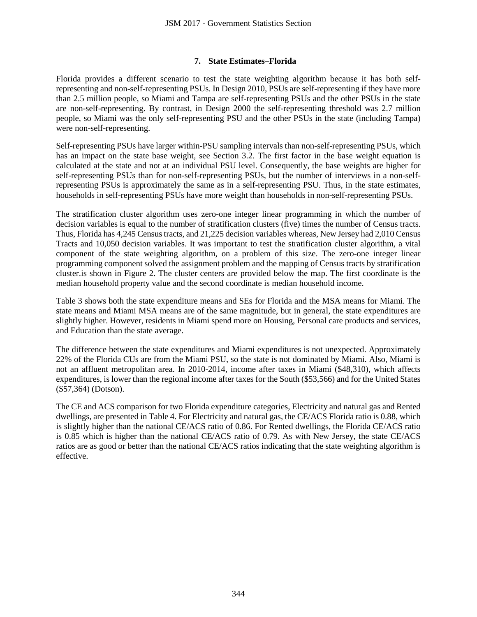# **7. State Estimates–Florida**

Florida provides a different scenario to test the state weighting algorithm because it has both selfrepresenting and non-self-representing PSUs. In Design 2010, PSUs are self-representing if they have more than 2.5 million people, so Miami and Tampa are self-representing PSUs and the other PSUs in the state are non-self-representing. By contrast, in Design 2000 the self-representing threshold was 2.7 million people, so Miami was the only self-representing PSU and the other PSUs in the state (including Tampa) were non-self-representing.

Self-representing PSUs have larger within-PSU sampling intervals than non-self-representing PSUs, which has an impact on the state base weight, see Section 3.2. The first factor in the base weight equation is calculated at the state and not at an individual PSU level. Consequently, the base weights are higher for self-representing PSUs than for non-self-representing PSUs, but the number of interviews in a non-selfrepresenting PSUs is approximately the same as in a self-representing PSU. Thus, in the state estimates, households in self-representing PSUs have more weight than households in non-self-representing PSUs.

The stratification cluster algorithm uses zero-one integer linear programming in which the number of decision variables is equal to the number of stratification clusters (five) times the number of Census tracts. Thus, Florida has 4,245 Census tracts, and 21,225 decision variables whereas, New Jersey had 2,010 Census Tracts and 10,050 decision variables. It was important to test the stratification cluster algorithm, a vital component of the state weighting algorithm, on a problem of this size. The zero-one integer linear programming component solved the assignment problem and the mapping of Census tracts by stratification cluster.is shown in Figure 2. The cluster centers are provided below the map. The first coordinate is the median household property value and the second coordinate is median household income. JSM 2017 - Government Statistics Section<br>7. State Estimates-Florida<br>cenario to test the state weighting algor<br>enting PSUs. In Design 2010, PSUs are self-representing PSUs. In Design 2010, PSUs are self-<br>contrast, in Design

Table 3 shows both the state expenditure means and SEs for Florida and the MSA means for Miami. The state means and Miami MSA means are of the same magnitude, but in general, the state expenditures are slightly higher. However, residents in Miami spend more on Housing, Personal care products and services, and Education than the state average.

The difference between the state expenditures and Miami expenditures is not unexpected. Approximately 22% of the Florida CUs are from the Miami PSU, so the state is not dominated by Miami. Also, Miami is not an affluent metropolitan area. In 2010-2014, income after taxes in Miami (\$48,310), which affects expenditures, is lower than the regional income after taxes for the South (\$53,566) and for the United States (\$57,364) (Dotson).

The CE and ACS comparison for two Florida expenditure categories, Electricity and natural gas and Rented dwellings, are presented in Table 4. For Electricity and natural gas, the CE/ACS Florida ratio is 0.88, which is slightly higher than the national CE/ACS ratio of 0.86. For Rented dwellings, the Florida CE/ACS ratio is 0.85 which is higher than the national CE/ACS ratio of 0.79. As with New Jersey, the state CE/ACS ratios are as good or better than the national CE/ACS ratios indicating that the state weighting algorithm is effective.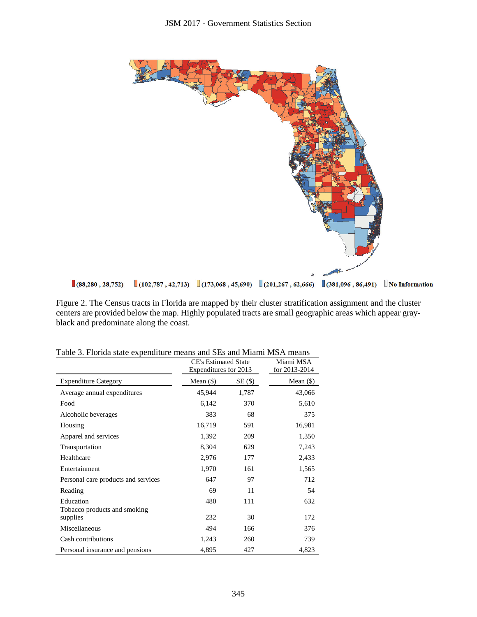

Figure 2. The Census tracts in Florida are mapped by their cluster stratification assignment and the cluster centers are provided below the map. Highly populated tracts are small geographic areas which appear grayblack and predominate along the coast.

| I able 5. Florida state expenditure means and SES and Milanii MSA means |                             |               |             |  |  |  |
|-------------------------------------------------------------------------|-----------------------------|---------------|-------------|--|--|--|
|                                                                         | <b>CE's Estimated State</b> | Miami MSA     |             |  |  |  |
|                                                                         | Expenditures for 2013       | for 2013-2014 |             |  |  |  |
| <b>Expenditure Category</b>                                             | Mean $(\$)$                 | $SE($ \$)     | Mean $(\$)$ |  |  |  |
| Average annual expenditures                                             | 45,944                      | 1,787         | 43,066      |  |  |  |
| Food                                                                    | 6,142                       | 370           | 5,610       |  |  |  |
| Alcoholic beverages                                                     | 383                         | 68            | 375         |  |  |  |
| Housing                                                                 | 16,719                      | 591           | 16,981      |  |  |  |
| Apparel and services                                                    | 1,392                       | 209           | 1,350       |  |  |  |
| Transportation                                                          | 8,304                       | 629           | 7,243       |  |  |  |
| Healthcare                                                              | 2,976                       | 177           | 2,433       |  |  |  |
| Entertainment                                                           | 1,970                       | 161           | 1,565       |  |  |  |
| Personal care products and services                                     | 647                         | 97            | 712         |  |  |  |
| Reading                                                                 | 69                          | 11            | 54          |  |  |  |
| Education                                                               | 480                         | 111           | 632         |  |  |  |
| Tobacco products and smoking                                            |                             |               |             |  |  |  |
| supplies                                                                | 232                         | 30            | 172         |  |  |  |
| Miscellaneous                                                           | 494                         | 166           | 376         |  |  |  |
| Cash contributions                                                      | 1,243                       | 260           | 739         |  |  |  |
| Personal insurance and pensions                                         | 4,895                       | 427           | 4,823       |  |  |  |

Table 3. Florida state expenditure means and SEs and Miami MSA means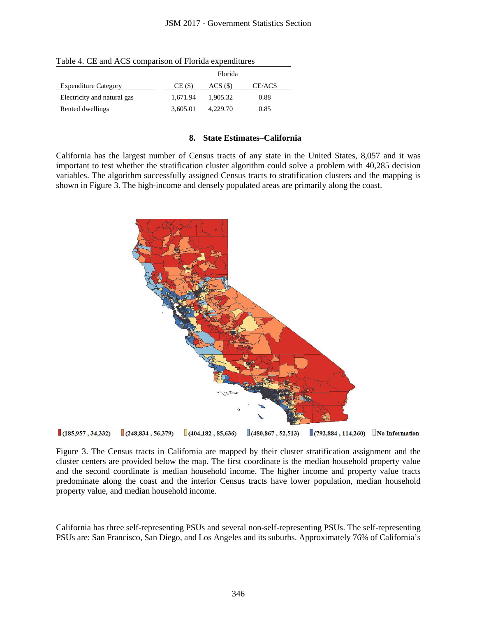Table 4. CE and ACS comparison of Florida expenditures

|                             | Florida  |          |        |  |
|-----------------------------|----------|----------|--------|--|
| <b>Expenditure Category</b> | CE (\$)  | ACS (S)  | CE/ACS |  |
| Electricity and natural gas | 1.671.94 | 1.905.32 | 0.88   |  |
| Rented dwellings            | 3,605.01 | 4,229.70 | 0.85   |  |

#### **8. State Estimates–California**

California has the largest number of Census tracts of any state in the United States, 8,057 and it was important to test whether the stratification cluster algorithm could solve a problem with 40,285 decision variables. The algorithm successfully assigned Census tracts to stratification clusters and the mapping is shown in Figure 3. The high-income and densely populated areas are primarily along the coast.



Figure 3. The Census tracts in California are mapped by their cluster stratification assignment and the cluster centers are provided below the map. The first coordinate is the median household property value and the second coordinate is median household income. The higher income and property value tracts predominate along the coast and the interior Census tracts have lower population, median household property value, and median household income.

California has three self-representing PSUs and several non-self-representing PSUs. The self-representing PSUs are: San Francisco, San Diego, and Los Angeles and its suburbs. Approximately 76% of California's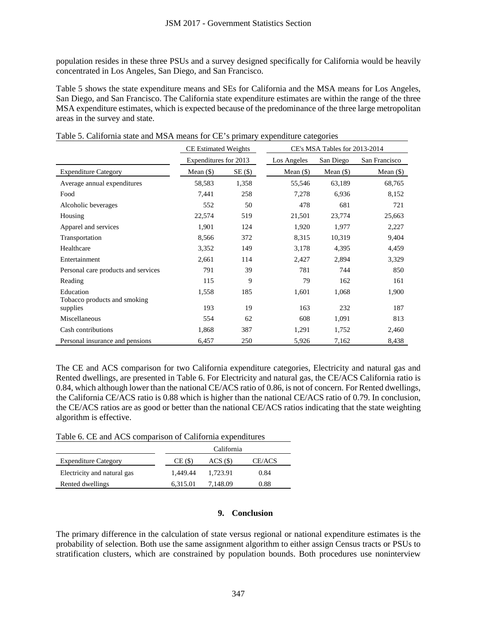| CE Estimated Weights<br>Expenditures for 2013<br>Mean $(\$)$<br>58,583<br>7,441<br>552<br>22,574<br>1,901<br>8,566<br>3,352<br>2,661<br>791 | $SE($ \$)<br>1,358<br>258<br>50<br>519<br>124<br>372<br>149<br>114 | Table 5. California state and MSA means for CE's primary expenditure categories<br>Los Angeles<br>Mean $(\$)$<br>55,546<br>7,278<br>478<br>21,501<br>1,920<br>8,315<br>3,178 | CE's MSA Tables for 2013-2014<br>San Diego<br>Mean $(\$)$<br>63,189<br>6,936<br>681<br>23,774<br>1,977<br>10,319         | Table 5 shows the state expenditure means and SEs for California and the MSA means for Los Ange<br>San Diego, and San Francisco. The California state expenditure estimates are within the range of the the<br>MSA expenditure estimates, which is expected because of the predominance of the three large metropoli<br>San Francisco<br>Mean $(\$)$<br>68,765<br>8,152<br>721<br>25,663<br>2,227                                                                                                                                                                                                                                                                                                                                                                                                                                                                                                    |
|---------------------------------------------------------------------------------------------------------------------------------------------|--------------------------------------------------------------------|------------------------------------------------------------------------------------------------------------------------------------------------------------------------------|--------------------------------------------------------------------------------------------------------------------------|------------------------------------------------------------------------------------------------------------------------------------------------------------------------------------------------------------------------------------------------------------------------------------------------------------------------------------------------------------------------------------------------------------------------------------------------------------------------------------------------------------------------------------------------------------------------------------------------------------------------------------------------------------------------------------------------------------------------------------------------------------------------------------------------------------------------------------------------------------------------------------------------------|
|                                                                                                                                             |                                                                    |                                                                                                                                                                              |                                                                                                                          |                                                                                                                                                                                                                                                                                                                                                                                                                                                                                                                                                                                                                                                                                                                                                                                                                                                                                                      |
|                                                                                                                                             |                                                                    |                                                                                                                                                                              |                                                                                                                          |                                                                                                                                                                                                                                                                                                                                                                                                                                                                                                                                                                                                                                                                                                                                                                                                                                                                                                      |
|                                                                                                                                             |                                                                    |                                                                                                                                                                              |                                                                                                                          |                                                                                                                                                                                                                                                                                                                                                                                                                                                                                                                                                                                                                                                                                                                                                                                                                                                                                                      |
|                                                                                                                                             |                                                                    |                                                                                                                                                                              |                                                                                                                          |                                                                                                                                                                                                                                                                                                                                                                                                                                                                                                                                                                                                                                                                                                                                                                                                                                                                                                      |
|                                                                                                                                             |                                                                    |                                                                                                                                                                              |                                                                                                                          |                                                                                                                                                                                                                                                                                                                                                                                                                                                                                                                                                                                                                                                                                                                                                                                                                                                                                                      |
|                                                                                                                                             |                                                                    |                                                                                                                                                                              |                                                                                                                          |                                                                                                                                                                                                                                                                                                                                                                                                                                                                                                                                                                                                                                                                                                                                                                                                                                                                                                      |
|                                                                                                                                             |                                                                    |                                                                                                                                                                              |                                                                                                                          |                                                                                                                                                                                                                                                                                                                                                                                                                                                                                                                                                                                                                                                                                                                                                                                                                                                                                                      |
|                                                                                                                                             |                                                                    |                                                                                                                                                                              |                                                                                                                          |                                                                                                                                                                                                                                                                                                                                                                                                                                                                                                                                                                                                                                                                                                                                                                                                                                                                                                      |
|                                                                                                                                             |                                                                    |                                                                                                                                                                              |                                                                                                                          |                                                                                                                                                                                                                                                                                                                                                                                                                                                                                                                                                                                                                                                                                                                                                                                                                                                                                                      |
|                                                                                                                                             |                                                                    |                                                                                                                                                                              |                                                                                                                          | 9,404                                                                                                                                                                                                                                                                                                                                                                                                                                                                                                                                                                                                                                                                                                                                                                                                                                                                                                |
|                                                                                                                                             |                                                                    |                                                                                                                                                                              | 4,395                                                                                                                    | 4,459                                                                                                                                                                                                                                                                                                                                                                                                                                                                                                                                                                                                                                                                                                                                                                                                                                                                                                |
|                                                                                                                                             |                                                                    | 2,427                                                                                                                                                                        | 2,894                                                                                                                    | 3,329                                                                                                                                                                                                                                                                                                                                                                                                                                                                                                                                                                                                                                                                                                                                                                                                                                                                                                |
|                                                                                                                                             | 39                                                                 | 781                                                                                                                                                                          | 744                                                                                                                      | 850                                                                                                                                                                                                                                                                                                                                                                                                                                                                                                                                                                                                                                                                                                                                                                                                                                                                                                  |
| 115                                                                                                                                         | 9                                                                  | 79                                                                                                                                                                           | 162                                                                                                                      | 161                                                                                                                                                                                                                                                                                                                                                                                                                                                                                                                                                                                                                                                                                                                                                                                                                                                                                                  |
| 1,558                                                                                                                                       | 185                                                                | 1,601                                                                                                                                                                        | 1,068                                                                                                                    | 1,900                                                                                                                                                                                                                                                                                                                                                                                                                                                                                                                                                                                                                                                                                                                                                                                                                                                                                                |
|                                                                                                                                             |                                                                    |                                                                                                                                                                              |                                                                                                                          | 187                                                                                                                                                                                                                                                                                                                                                                                                                                                                                                                                                                                                                                                                                                                                                                                                                                                                                                  |
|                                                                                                                                             |                                                                    |                                                                                                                                                                              |                                                                                                                          | 813                                                                                                                                                                                                                                                                                                                                                                                                                                                                                                                                                                                                                                                                                                                                                                                                                                                                                                  |
|                                                                                                                                             |                                                                    |                                                                                                                                                                              |                                                                                                                          | 2,460                                                                                                                                                                                                                                                                                                                                                                                                                                                                                                                                                                                                                                                                                                                                                                                                                                                                                                |
| 6,457                                                                                                                                       | 250                                                                | 5,926                                                                                                                                                                        | 7,162                                                                                                                    | 8,438                                                                                                                                                                                                                                                                                                                                                                                                                                                                                                                                                                                                                                                                                                                                                                                                                                                                                                |
|                                                                                                                                             |                                                                    |                                                                                                                                                                              |                                                                                                                          |                                                                                                                                                                                                                                                                                                                                                                                                                                                                                                                                                                                                                                                                                                                                                                                                                                                                                                      |
|                                                                                                                                             |                                                                    |                                                                                                                                                                              |                                                                                                                          |                                                                                                                                                                                                                                                                                                                                                                                                                                                                                                                                                                                                                                                                                                                                                                                                                                                                                                      |
|                                                                                                                                             |                                                                    |                                                                                                                                                                              |                                                                                                                          |                                                                                                                                                                                                                                                                                                                                                                                                                                                                                                                                                                                                                                                                                                                                                                                                                                                                                                      |
|                                                                                                                                             |                                                                    |                                                                                                                                                                              |                                                                                                                          |                                                                                                                                                                                                                                                                                                                                                                                                                                                                                                                                                                                                                                                                                                                                                                                                                                                                                                      |
|                                                                                                                                             |                                                                    |                                                                                                                                                                              |                                                                                                                          |                                                                                                                                                                                                                                                                                                                                                                                                                                                                                                                                                                                                                                                                                                                                                                                                                                                                                                      |
|                                                                                                                                             |                                                                    |                                                                                                                                                                              |                                                                                                                          |                                                                                                                                                                                                                                                                                                                                                                                                                                                                                                                                                                                                                                                                                                                                                                                                                                                                                                      |
|                                                                                                                                             |                                                                    |                                                                                                                                                                              |                                                                                                                          |                                                                                                                                                                                                                                                                                                                                                                                                                                                                                                                                                                                                                                                                                                                                                                                                                                                                                                      |
|                                                                                                                                             | 193<br>554<br>1,868<br>1,449.44<br>6,315.01                        | 19<br>62<br>387<br>California<br>$ACS$ (\$)<br>1,723.91<br>7,148.09<br>9.<br>347                                                                                             | 163<br>608<br>1,291<br>Table 6. CE and ACS comparison of California expenditures<br>CE/ACS<br>0.84<br>0.88<br>Conclusion | 232<br>1,091<br>1,752<br>The CE and ACS comparison for two California expenditure categories, Electricity and natural gas<br>Rented dwellings, are presented in Table 6. For Electricity and natural gas, the CE/ACS California ratio<br>0.84, which although lower than the national CE/ACS ratio of 0.86, is not of concern. For Rented dwellir<br>the California CE/ACS ratio is 0.88 which is higher than the national CE/ACS ratio of 0.79. In conclusi<br>the CE/ACS ratios are as good or better than the national CE/ACS ratios indicating that the state weight<br>The primary difference in the calculation of state versus regional or national expenditure estimates is<br>probability of selection. Both use the same assignment algorithm to either assign Census tracts or PSU<br>stratification clusters, which are constrained by population bounds. Both procedures use nonintervi |

Table 5. California state and MSA means for CE's primary expenditure categories

Table 6. CE and ACS comparison of California expenditures

|                             | California |          |        |  |  |
|-----------------------------|------------|----------|--------|--|--|
| <b>Expenditure Category</b> | $CE($ \$)  | ACS (S)  | CE/ACS |  |  |
| Electricity and natural gas | 1.449.44   | 1.723.91 | 0.84   |  |  |
| Rented dwellings            | 6.315.01   | 7.148.09 | 0.88   |  |  |

# **9. Conclusion**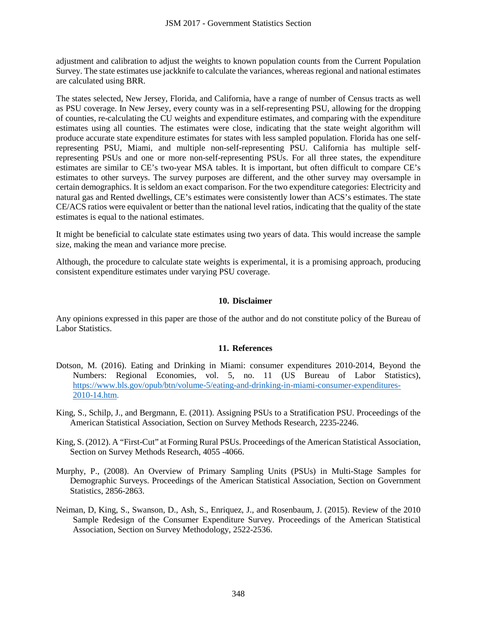adjustment and calibration to adjust the weights to known population counts from the Current Population Survey. The state estimates use jackknife to calculate the variances, whereas regional and national estimates are calculated using BRR.

The states selected, New Jersey, Florida, and California, have a range of number of Census tracts as well as PSU coverage. In New Jersey, every county was in a self-representing PSU, allowing for the dropping of counties, re-calculating the CU weights and expenditure estimates, and comparing with the expenditure estimates using all counties. The estimates were close, indicating that the state weight algorithm will produce accurate state expenditure estimates for states with less sampled population. Florida has one selfrepresenting PSU, Miami, and multiple non-self-representing PSU. California has multiple selfrepresenting PSUs and one or more non-self-representing PSUs. For all three states, the expenditure estimates are similar to CE's two-year MSA tables. It is important, but often difficult to compare CE's estimates to other surveys. The survey purposes are different, and the other survey may oversample in certain demographics. It is seldom an exact comparison. For the two expenditure categories: Electricity and natural gas and Rented dwellings, CE's estimates were consistently lower than ACS's estimates. The state CE/ACS ratios were equivalent or better than the national level ratios, indicating that the quality of the state estimates is equal to the national estimates. JSM 2017 - Government Statistics Section<br>
dijust the weights to known population cou<br>
ackknife to calculate the variances, wherea<br>
, Florida, and California, have a range of p,<br>
, veery county was in a self-representing<br>
U

It might be beneficial to calculate state estimates using two years of data. This would increase the sample size, making the mean and variance more precise*.* 

Although, the procedure to calculate state weights is experimental, it is a promising approach, producing consistent expenditure estimates under varying PSU coverage.

## **10. Disclaimer**

Any opinions expressed in this paper are those of the author and do not constitute policy of the Bureau of Labor Statistics.

## **11. References**

- Dotson, M. (2016). Eating and Drinking in Miami: consumer expenditures 2010-2014, Beyond the Numbers: Regional Economies, vol. 5, no. 11 (US Bureau of Labor Statistics), [https://www.bls.gov/opub/btn/volume-5/eating-and-drinking-in-miami-consumer-expenditures-](https://www.bls.gov/opub/btn/volume-5/eating-and-drinking-in-miami-consumer-expenditures-2010-14.htm)[2010-14.htm.](https://www.bls.gov/opub/btn/volume-5/eating-and-drinking-in-miami-consumer-expenditures-2010-14.htm)
- King, S., Schilp, J., and Bergmann, E. (2011). Assigning PSUs to a Stratification PSU. Proceedings of the American Statistical Association, Section on Survey Methods Research, 2235-2246.
- King, S. (2012). A "First-Cut" at Forming Rural PSUs. Proceedings of the American Statistical Association, Section on Survey Methods Research, 4055 -4066.
- Murphy, P., (2008). An Overview of Primary Sampling Units (PSUs) in Multi-Stage Samples for Demographic Surveys. Proceedings of the American Statistical Association, Section on Government Statistics, 2856-2863.
- Neiman, D, King, S., Swanson, D., Ash, S., Enriquez, J., and Rosenbaum, J. (2015). Review of the 2010 Sample Redesign of the Consumer Expenditure Survey. Proceedings of the American Statistical Association, Section on Survey Methodology, 2522-2536.